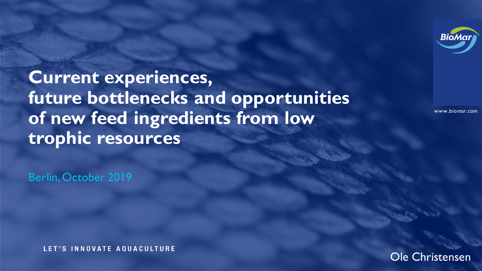

www.biomar.com

**Current experiences, future bottlenecks and opportunities of new feed ingredients from low trophic resources** 

Berlin, October 2019

LET'S INNOVATE AQUACULTURE

Ole Christensen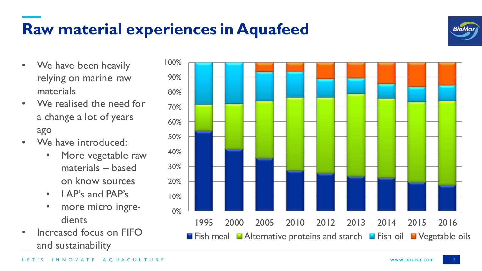## **Raw material experiences in Aquafeed**



- We have been heavily relying on marine raw materials
- We realised the need for a change a lot of years ago
- We have introduced:
	- More vegetable raw materials – based on know sources
	- LAP's and PAP's
	- more micro ingredients
- Increased focus on FIFO and sustainability

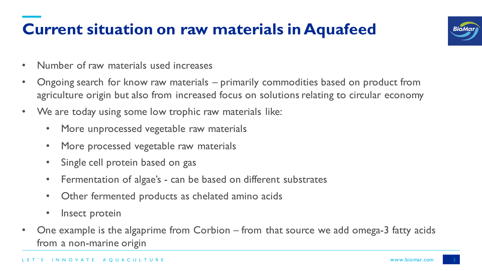# **Current situation on raw materials in Aquafeed**



- Number of raw materials used increases
- Ongoing search for know raw materials primarily commodities based on product from agriculture origin but also from increased focus on solutions relating to circular economy
- We are today using some low trophic raw materials like:
	- More unprocessed vegetable raw materials
	- More processed vegetable raw materials
	- Single cell protein based on gas
	- Fermentation of algae's can be based on different substrates
	- Other fermented products as chelated amino acids
	- Insect protein
- One example is the algaprime from Corbion from that source we add omega-3 fatty acids from a non-marine origin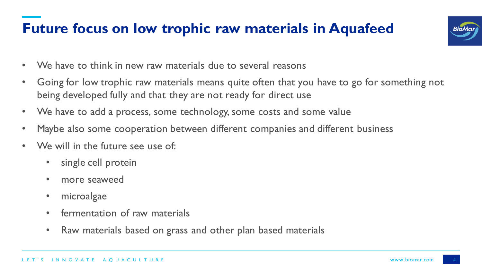#### **Future focus on low trophic raw materials in Aquafeed**



- We have to think in new raw materials due to several reasons
- Going for low trophic raw materials means quite often that you have to go for something not being developed fully and that they are not ready for direct use
- We have to add a process, some technology, some costs and some value
- Maybe also some cooperation between different companies and different business
- We will in the future see use of:
	- single cell protein
	- more seaweed
	- microalgae
	- fermentation of raw materials
	- Raw materials based on grass and other plan based materials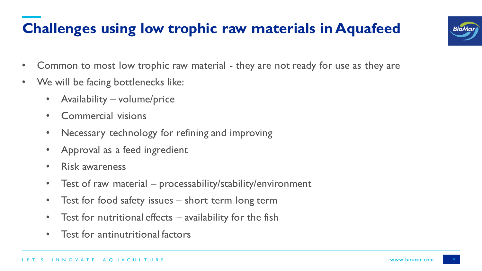## **Challenges using low trophic raw materials in Aquafeed**



- Common to most low trophic raw material they are not ready for use as they are
- We will be facing bottlenecks like:
	- Availability volume/price
	- Commercial visions
	- Necessary technology for refining and improving
	- Approval as a feed ingredient
	- Risk awareness
	- Test of raw material processability/stability/environment
	- Test for food safety issues short term long term
	- Test for nutritional effects availability for the fish
	- Test for antinutritional factors